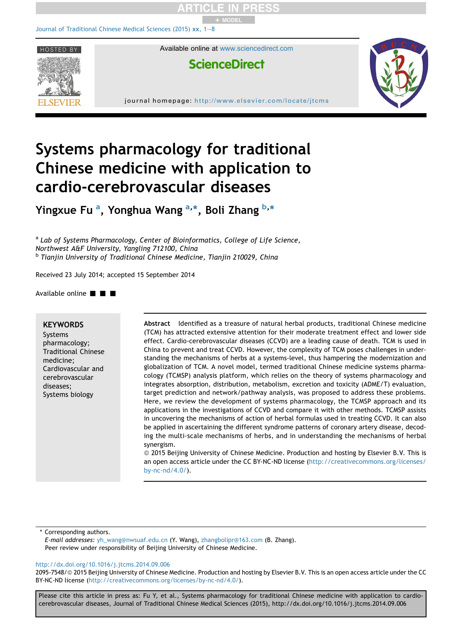# + MODEL

[Journal of Traditional Chinese Medical Sciences \(2015\)](http://dx.doi.org/10.1016/j.jtcms.2014.09.006)  $xx$ , 1-[8](http://dx.doi.org/10.1016/j.jtcms.2014.09.006)



HOSTED BY **Available online at [www.sciencedirect.com](www.sciencedirect.com/science/journal/20957548)** 

### **ScienceDirect**



journal homepage: <http://www.elsevier.com/locate/jtcms>

## Systems pharmacology for traditional Chinese medicine with application to cardio-cerebrovascular diseases

Yingxue Fu <sup>a</sup>, Yonghua Wang <sup>a,\*</sup>, Boli Zhang <sup>b,\*</sup>

<sup>a</sup> Lab of Systems Pharmacology, Center of Bioinformatics, College of Life Science, Northwest A&F University, Yangling 712100, China <sup>b</sup> Tianjin University of Traditional Chinese Medicine, Tianjin 210029, China

Received 23 July 2014; accepted 15 September 2014

Available online  $\blacksquare$ 

#### **KEYWORDS**

Systems pharmacology; Traditional Chinese medicine; Cardiovascular and cerebrovascular diseases; Systems biology

Abstract Identified as a treasure of natural herbal products, traditional Chinese medicine (TCM) has attracted extensive attention for their moderate treatment effect and lower side effect. Cardio-cerebrovascular diseases (CCVD) are a leading cause of death. TCM is used in China to prevent and treat CCVD. However, the complexity of TCM poses challenges in understanding the mechanisms of herbs at a systems-level, thus hampering the modernization and globalization of TCM. A novel model, termed traditional Chinese medicine systems pharmacology (TCMSP) analysis platform, which relies on the theory of systems pharmacology and integrates absorption, distribution, metabolism, excretion and toxicity (ADME/T) evaluation, target prediction and network/pathway analysis, was proposed to address these problems. Here, we review the development of systems pharmacology, the TCMSP approach and its applications in the investigations of CCVD and compare it with other methods. TCMSP assists in uncovering the mechanisms of action of herbal formulas used in treating CCVD. It can also be applied in ascertaining the different syndrome patterns of coronary artery disease, decoding the multi-scale mechanisms of herbs, and in understanding the mechanisms of herbal synergism.

ª 2015 Beijing University of Chinese Medicine. Production and hosting by Elsevier B.V. This is an open access article under the CC BY-NC-ND license ([http://creativecommons.org/licenses/](http://creativecommons.org/licenses/by-nc-nd/4.�0/) [by-nc-nd/4.0/](http://creativecommons.org/licenses/by-nc-nd/4.�0/)).

Corresponding authors.

E-mail addresses: [yh\\_wang@nwsuaf.edu.cn](mailto:yh_wang@nwsuaf.edu.cn) (Y. Wang), [zhangbolipr@163.com](mailto:zhangbolipr@163.com) (B. Zhang). Peer review under responsibility of Beijing University of Chinese Medicine.

#### <http://dx.doi.org/10.1016/j.jtcms.2014.09.006>

2095-7548/© 2015 Beijing University of Chinese Medicine. Production and hosting by Elsevier B.V. This is an open access article under the CC BY-NC-ND license ([http://creativecommons.org/licenses/by-nc-nd/4.0/](http://creativecommons.org/licenses/by-nc-nd/4.�0/)).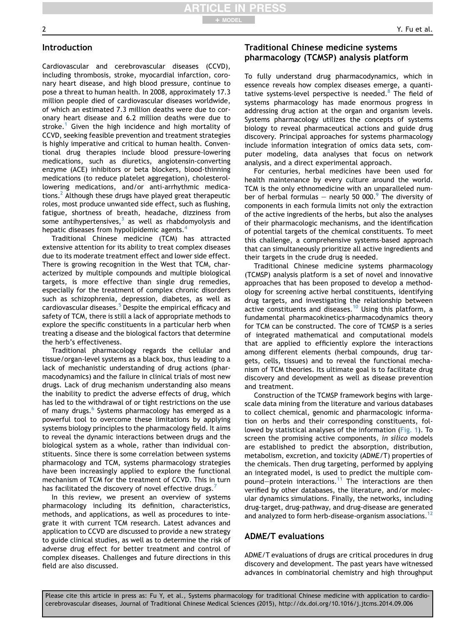#### Introduction

Cardiovascular and cerebrovascular diseases (CCVD), including thrombosis, stroke, myocardial infarction, coronary heart disease, and high blood pressure, continue to pose a threat to human health. In 2008, approximately 17.3 million people died of cardiovascular diseases worldwide, of which an estimated 7.3 million deaths were due to coronary heart disease and 6.2 million deaths were due to stroke.<sup>[1](#page-6-0)</sup> Given the high incidence and high mortality of CCVD, seeking feasible prevention and treatment strategies is highly imperative and critical to human health. Conventional drug therapies include blood pressure-lowering medications, such as diuretics, angiotensin-converting enzyme (ACE) inhibitors or beta blockers, blood-thinning medications (to reduce platelet aggregation), cholesterollowering medications, and/or anti-arrhythmic medica-tions.<sup>[2](#page-6-0)</sup> Although these drugs have played great therapeutic roles, most produce unwanted side effect, such as flushing, fatigue, shortness of breath, headache, dizziness from some antihypertensives, $3$  as well as rhabdomyolysis and hepatic diseases from hypolipidemic agents.<sup>[4](#page-6-0)</sup>

Traditional Chinese medicine (TCM) has attracted extensive attention for its ability to treat complex diseases due to its moderate treatment effect and lower side effect. There is growing recognition in the West that TCM, characterized by multiple compounds and multiple biological targets, is more effective than single drug remedies, especially for the treatment of complex chronic disorders such as schizophrenia, depression, diabetes, as well as cardiovascular diseases.<sup>[5](#page-6-0)</sup> Despite the empirical efficacy and safety of TCM, there is still a lack of appropriate methods to explore the specific constituents in a particular herb when treating a disease and the biological factors that determine the herb's effectiveness.

Traditional pharmacology regards the cellular and tissue/organ-level systems as a black box, thus leading to a lack of mechanistic understanding of drug actions (pharmacodynamics) and the failure in clinical trials of most new drugs. Lack of drug mechanism understanding also means the inability to predict the adverse effects of drug, which has led to the withdrawal of or tight restrictions on the use of many drugs.<sup>[6](#page-6-0)</sup> Systems pharmacology has emerged as a powerful tool to overcome these limitations by applying systems biology principles to the pharmacology field. It aims to reveal the dynamic interactions between drugs and the biological system as a whole, rather than individual constituents. Since there is some correlation between systems pharmacology and TCM, systems pharmacology strategies have been increasingly applied to explore the functional mechanism of TCM for the treatment of CCVD. This in turn has facilitated the discovery of novel effective drugs.

In this review, we present an overview of systems pharmacology including its definition, characteristics, methods, and applications, as well as procedures to integrate it with current TCM research. Latest advances and application to CCVD are discussed to provide a new strategy to guide clinical studies, as well as to determine the risk of adverse drug effect for better treatment and control of complex diseases. Challenges and future directions in this field are also discussed.

#### Traditional Chinese medicine systems pharmacology (TCMSP) analysis platform

To fully understand drug pharmacodynamics, which in essence reveals how complex diseases emerge, a quantitative systems-level perspective is needed. $8$  The field of systems pharmacology has made enormous progress in addressing drug action at the organ and organism levels. Systems pharmacology utilizes the concepts of systems biology to reveal pharmaceutical actions and guide drug discovery. Principal approaches for systems pharmacology include information integration of omics data sets, computer modeling, data analyses that focus on network analysis, and a direct experimental approach.

For centuries, herbal medicines have been used for health maintenance by every culture around the world. TCM is the only ethnomedicine with an unparalleled number of herbal formulas  $-$  nearly 50 000.<sup>[9](#page-6-0)</sup> The diversity of components in each formula limits not only the extraction of the active ingredients of the herbs, but also the analyses of their pharmacologic mechanisms, and the identification of potential targets of the chemical constituents. To meet this challenge, a comprehensive systems-based approach that can simultaneously prioritize all active ingredients and their targets in the crude drug is needed.

Traditional Chinese medicine systems pharmacology (TCMSP) analysis platform is a set of novel and innovative approaches that has been proposed to develop a methodology for screening active herbal constituents, identifying drug targets, and investigating the relationship between active constituents and diseases.<sup>[10](#page-6-0)</sup> Using this platform, a fundamental pharmacokinetics-pharmacodynamics theory for TCM can be constructed. The core of TCMSP is a series of integrated mathematical and computational models that are applied to efficiently explore the interactions among different elements (herbal compounds, drug targets, cells, tissues) and to reveal the functional mechanism of TCM theories. Its ultimate goal is to facilitate drug discovery and development as well as disease prevention and treatment.

Construction of the TCMSP framework begins with largescale data mining from the literature and various databases to collect chemical, genomic and pharmacologic information on herbs and their corresponding constituents, followed by statistical analyses of the information ([Fig. 1](#page-2-0)). To screen the promising active components, in silico models are established to predict the absorption, distribution, metabolism, excretion, and toxicity (ADME/T) properties of the chemicals. Then drug targeting, performed by applying an integrated model, is used to predict the multiple com-pound-protein interactions.<sup>[11](#page-6-0)</sup> The interactions are then verified by other databases, the literature, and/or molecular dynamics simulations. Finally, the networks, including drug-target, drug-pathway, and drug-disease are generated and analyzed to form herb-disease-organism associations.<sup>[12](#page-6-0)</sup>

#### ADME/T evaluations

ADME/T evaluations of drugs are critical procedures in drug discovery and development. The past years have witnessed advances in combinatorial chemistry and high throughput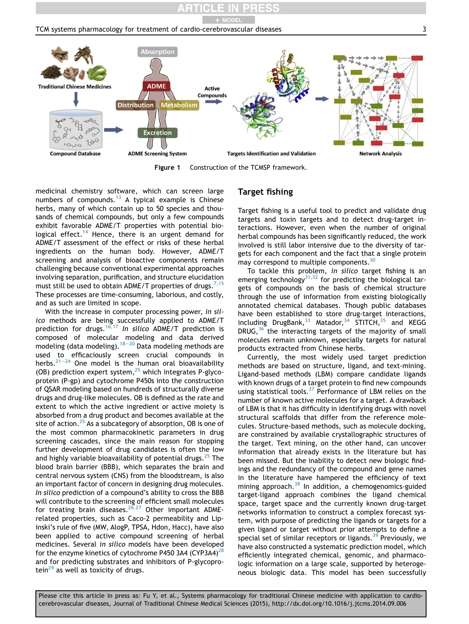<span id="page-2-0"></span>

medicinal chemistry software, which can screen large numbers of compounds.<sup>[13](#page-6-0)</sup> A typical example is Chinese herbs, many of which contain up to 50 species and thousands of chemical compounds, but only a few compounds exhibit favorable ADME/T properties with potential bio-logical effect.<sup>[14](#page-6-0)</sup> Hence, there is an urgent demand for ADME/T assessment of the effect or risks of these herbal ingredients on the human body. However, ADME/T screening and analysis of bioactive components remain challenging because conventional experimental approaches involving separation, purification, and structure elucidation must still be used to obtain ADME/T properties of drugs.<sup>[7,15](#page-6-0)</sup> These processes are time-consuming, laborious, and costly, and as such are limited in scope.

With the increase in computer processing power, in silico methods are being successfully applied to ADME/T prediction for drugs.<sup>[16,17](#page-6-0)</sup> In silico ADME/T prediction is composed of molecular modeling and data derived modeling (data modeling).<sup>[18](#page-6-0)–[20](#page-6-0)</sup> Data modeling methods are used to efficaciously screen crucial compounds in herbs. $21-24$  $21-24$  $21-24$  One model is the human oral bioavailability (OB) prediction expert system, $25$  which integrates P-glycoprotein (P-gp) and cytochrome P450s into the construction of QSAR modeling based on hundreds of structurally diverse drugs and drug-like molecules. OB is defined as the rate and extent to which the active ingredient or active moiety is absorbed from a drug product and becomes available at the site of action. $25$  As a subcategory of absorption, OB is one of the most common pharmacokinetic parameters in drug screening cascades, since the main reason for stopping further development of drug candidates is often the low and highly variable bioavailability of potential drugs. $25$  The blood brain barrier (BBB), which separates the brain and central nervous system (CNS) from the bloodstream, is also an important factor of concern in designing drug molecules. In silico prediction of a compound's ability to cross the BBB will contribute to the screening of efficient small molecules for treating brain diseases. $26,27$  Other important ADMErelated properties, such as Caco-2 permeability and Lipinski's rule of five (MW, AlogP, TPSA, Hdon, Hacc), have also been applied to active compound screening of herbal medicines. Several in silico models have been developed for the enzyme kinetics of cytochrome P450 3A4 (CYP3A4)<sup>[28](#page-6-0)</sup> and for predicting substrates and inhibitors of P-glycopro-tein<sup>[29](#page-6-0)</sup> as well as toxicity of drugs.

#### Target fishing

Target fishing is a useful tool to predict and validate drug targets and toxin targets and to detect drug-target interactions. However, even when the number of original herbal compounds has been significantly reduced, the work involved is still labor intensive due to the diversity of targets for each component and the fact that a single protein may correspond to multiple components.<sup>[30](#page-6-0)</sup>

To tackle this problem, in silico target fishing is an emerging technology $31,32$  for predicting the biological targets of compounds on the basis of chemical structure through the use of information from existing biologically annotated chemical databases. Though public databases have been established to store drug-target interactions, including DrugBank,  $33$  Matador,  $34$  STITCH,  $35$  and KEGG DRUG,  $36$  the interacting targets of the majority of small molecules remain unknown, especially targets for natural products extracted from Chinese herbs.

Currently, the most widely used target prediction methods are based on structure, ligand, and text-mining. Ligand-based methods (LBM) compare candidate ligands with known drugs of a target protein to find new compounds using statistical tools. $37$  Performance of LBM relies on the number of known active molecules for a target. A drawback of LBM is that it has difficulty in identifying drugs with novel structural scaffolds that differ from the reference molecules. Structure-based methods, such as molecule docking, are constrained by available crystallographic structures of the target. Text mining, on the other hand, can uncover information that already exists in the literature but has been missed. But the inability to detect new biologic findings and the redundancy of the compound and gene names in the literature have hampered the efficiency of text mining approach.<sup>[38](#page-7-0)</sup> In addition, a chemogenomics-guided target-ligand approach combines the ligand chemical space, target space and the currently known drug-target networks information to construct a complex forecast system, with purpose of predicting the ligands or targets for a given ligand or target without prior attempts to define a special set of similar receptors or ligands.<sup>[39](#page-7-0)</sup> Previously, we have also constructed a systematic prediction model, which efficiently integrated chemical, genomic, and pharmacologic information on a large scale, supported by heterogeneous biologic data. This model has been successfully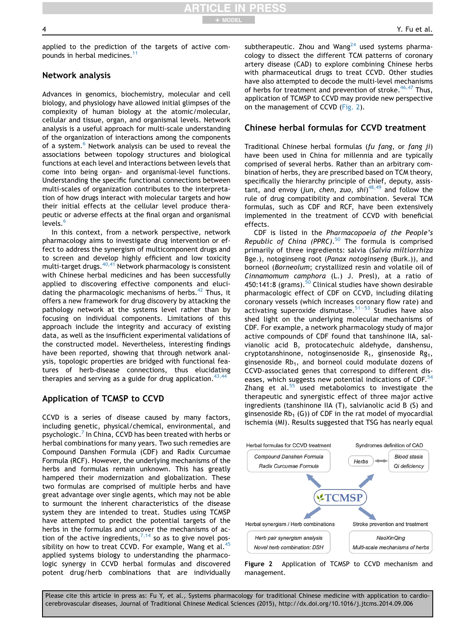applied to the prediction of the targets of active com-pounds in herbal medicines.<sup>[11](#page-6-0)</sup>

+ MODEL

#### Network analysis

Advances in genomics, biochemistry, molecular and cell biology, and physiology have allowed initial glimpses of the complexity of human biology at the atomic/molecular, cellular and tissue, organ, and organismal levels. Network analysis is a useful approach for multi-scale understanding of the organization of interactions among the components of a system.<sup>[6](#page-6-0)</sup> Network analysis can be used to reveal the associations between topology structures and biological functions at each level and interactions between levels that come into being organ- and organismal-level functions. Understanding the specific functional connections between multi-scales of organization contributes to the interpretation of how drugs interact with molecular targets and how their initial effects at the cellular level produce therapeutic or adverse effects at the final organ and organismal levels.<sup>[6](#page-6-0)</sup>

In this context, from a network perspective, network pharmacology aims to investigate drug intervention or effect to address the synergism of multicomponent drugs and to screen and develop highly efficient and low toxicity multi-target drugs.[40,41](#page-7-0) Network pharmacology is consistent with Chinese herbal medicines and has been successfully applied to discovering effective components and elucidating the pharmacologic mechanisms of herbs. $42$  Thus, it offers a new framework for drug discovery by attacking the pathology network at the systems level rather than by focusing on individual components. Limitations of this approach include the integrity and accuracy of existing data, as well as the insufficient experimental validations of the constructed model. Nevertheless, interesting findings have been reported, showing that through network analysis, topologic properties are bridged with functional features of herb-disease connections, thus elucidating therapies and serving as a guide for drug application.  $43,44$ 

#### Application of TCMSP to CCVD

CCVD is a series of disease caused by many factors, including genetic, physical/chemical, environmental, and psychologic.[7](#page-6-0) In China, CCVD has been treated with herbs or herbal combinations for many years. Two such remedies are Compound Danshen Formula (CDF) and Radix Curcumae Formula (RCF). However, the underlying mechanisms of the herbs and formulas remain unknown. This has greatly hampered their modernization and globalization. These two formulas are comprised of multiple herbs and have great advantage over single agents, which may not be able to surmount the inherent characteristics of the disease system they are intended to treat. Studies using TCMSP have attempted to predict the potential targets of the herbs in the formulas and uncover the mechanisms of action of the active ingredients,  $7,14$  so as to give novel pos-sibility on how to treat CCVD. For example, Wang et al.<sup>[45](#page-7-0)</sup> applied systems biology to understanding the pharmacologic synergy in CCVD herbal formulas and discovered potent drug/herb combinations that are individually subtherapeutic. Zhou and Wang<sup>24</sup> used systems pharmacology to dissect the different TCM patterns of coronary artery disease (CAD) to explore combining Chinese herbs with pharmaceutical drugs to treat CCVD. Other studies have also attempted to decode the multi-level mechanisms of herbs for treatment and prevention of stroke. $46,47$  Thus, application of TCMSP to CCVD may provide new perspective on the management of CCVD (Fig. 2).

#### Chinese herbal formulas for CCVD treatment

Traditional Chinese herbal formulas (fu fang, or fang ji) have been used in China for millennia and are typically comprised of several herbs. Rather than an arbitrary combination of herbs, they are prescribed based on TCM theory, specifically the hierarchy principle of chief, deputy, assis-tant, and envoy (jun, chen, zuo, shi)<sup>[48,49](#page-7-0)</sup> and follow the rule of drug compatibility and combination. Several TCM formulas, such as CDF and RCF, have been extensively implemented in the treatment of CCVD with beneficial effects.

CDF is listed in the Pharmacopoeia of the People's Republic of China (PPRC).<sup>[50](#page-7-0)</sup> The formula is comprised primarily of three ingredients: salvia (Salvia miltiorrhiza Bge.), notoginseng root (Panax notoginseng (Burk.)), and borneol (Borneolum; crystallized resin and volatile oil of Cinnamomum camphora (L.) J. Presl), at a ratio of 4[50](#page-7-0):141:8 (grams).<sup>50</sup> Clinical studies have shown desirable pharmacologic effect of CDF on CCVD, including dilating coronary vessels (which increases coronary flow rate) and activating superoxide dismutase. $51-53$  $51-53$  $51-53$  Studies have also shed light on the underlying molecular mechanisms of CDF. For example, a network pharmacology study of major active compounds of CDF found that tanshinone IIA, salvianolic acid B, protocatechuic aldehyde, danshensu, cryptotanshinone, notoginsenoside  $R_1$ , ginsenoside  $R_{11}$ , ginsenoside  $Rb_1$ , and borneol could modulate dozens of CCVD-associated genes that correspond to different dis-eases, which suggests new potential indications of CDF.<sup>[54](#page-7-0)</sup> Zhang et al. $55$  used metabolomics to investigate the therapeutic and synergistic effect of three major active ingredients (tanshinone IIA (T), salvianolic acid B (S) and ginsenoside  $Rb_1$  (G)) of CDF in the rat model of myocardial ischemia (MI). Results suggested that TSG has nearly equal



Figure 2 Application of TCMSP to CCVD mechanism and management.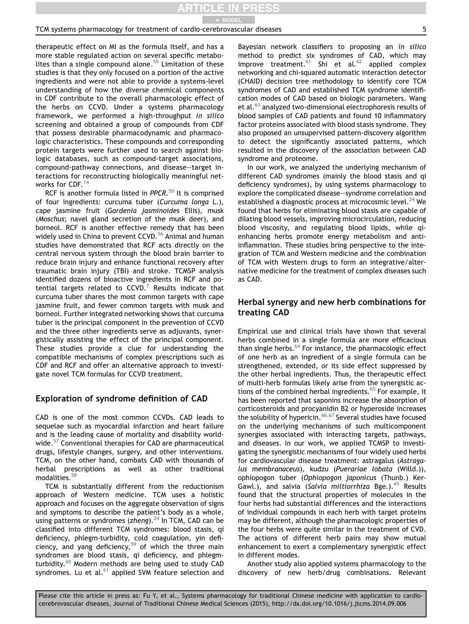#### TCM systems pharmacology for treatment of cardio-cerebrovascular diseases 5

therapeutic effect on MI as the formula itself, and has a more stable regulated action on several specific metabo-lites than a single compound alone.<sup>[55](#page-7-0)</sup> Limitation of these studies is that they only focused on a portion of the active ingredients and were not able to provide a systems-level understanding of how the diverse chemical components in CDF contribute to the overall pharmacologic effect of the herbs on CCVD. Under a systems pharmacology framework, we performed a high-throughput in silico screening and obtained a group of compounds from CDF that possess desirable pharmacodynamic and pharmacologic characteristics. These compounds and corresponding protein targets were further used to search against biologic databases, such as compound-target associations, compound-pathway connections, and disease-target interactions for reconstructing biologically meaningful net-works for CDF.<sup>[14](#page-6-0)</sup>

RCF is another formula listed in PPCR.<sup>[50](#page-7-0)</sup> It is comprised of four ingredients: curcuma tuber (Curcuma longa L.), cape jasmine fruit (Gardenia jasminoides Ellis), musk (Moschus; navel gland secretion of the musk deer), and borneol. RCF is another effective remedy that has been widely used in China to prevent CCVD.<sup>[56](#page-7-0)</sup> Animal and human studies have demonstrated that RCF acts directly on the central nervous system through the blood brain barrier to reduce brain injury and enhance functional recovery after traumatic brain injury (TBI) and stroke. TCMSP analysis identified dozens of bioactive ingredients in RCF and potential targets related to  $CCVD$ .<sup>[7](#page-6-0)</sup> Results indicate that curcuma tuber shares the most common targets with cape jasmine fruit, and fewer common targets with musk and borneol. Further integrated networking shows that curcuma tuber is the principal component in the prevention of CCVD and the three other ingredients serve as adjuvants, synergistically assisting the effect of the principal component. These studies provide a clue for understanding the compatible mechanisms of complex prescriptions such as CDF and RCF and offer an alternative approach to investigate novel TCM formulas for CCVD treatment.

#### Exploration of syndrome definition of CAD

CAD is one of the most common CCVDs. CAD leads to sequelae such as myocardial infarction and heart failure and is the leading cause of mortality and disability world-wide.<sup>[57](#page-7-0)</sup> Conventional therapies for CAD are pharmaceutical drugs, lifestyle changes, surgery, and other interventions. TCM, on the other hand, combats CAD with thousands of herbal prescriptions as well as other traditional modalities.<sup>[58](#page-7-0)</sup>

TCM is substantially different from the reductionism approach of Western medicine. TCM uses a holistic approach and focuses on the aggregate observation of signs and symptoms to describe the patient's body as a whole, using patterns or syndromes (zheng).<sup>24</sup> In TCM, CAD can be classified into different TCM syndromes: blood stasis, qi deficiency, phlegm-turbidity, cold coagulation, yin deficiency, and yang deficiency,  $59$  of which the three main syndromes are blood stasis, qi deficiency, and phlegm-turbidity.<sup>[60](#page-7-0)</sup> Modern methods are being used to study CAD syndromes. Lu et al. $61$  applied SVM feature selection and

Bayesian network classifiers to proposing an in silico method to predict six syndromes of CAD, which may improve treatment.<sup>[61](#page-7-0)</sup> Shi et al.<sup>[62](#page-7-0)</sup> applied complex networking and chi-squared automatic interaction detector (CHAID) decision tree methodology to identify core TCM syndromes of CAD and established TCM syndrome identification modes of CAD based on biologic parameters. Wang et al.<sup>[63](#page-7-0)</sup> analyzed two-dimensional electrophoresis results of blood samples of CAD patients and found 10 inflammatory factor proteins associated with blood stasis syndrome. They also proposed an unsupervised pattern-discovery algorithm to detect the significantly associated patterns, which resulted in the discovery of the association between CAD syndrome and proteome.

In our work, we analyzed the underlying mechanism of different CAD syndromes (mainly the blood stasis and qi deficiency syndromes), by using systems pharmacology to explore the complicated disease-syndrome correlation and established a diagnostic process at microcosmic level.<sup>[24](#page-6-0)</sup> We found that herbs for eliminating blood stasis are capable of dilating blood vessels, improving microcirculation, reducing blood viscosity, and regulating blood lipids, while qienhancing herbs promote energy metabolism and antiinflammation. These studies bring perspective to the integration of TCM and Western medicine and the combination of TCM with Western drugs to form an integrative/alternative medicine for the treatment of complex diseases such as CAD.

#### Herbal synergy and new herb combinations for treating CAD

Empirical use and clinical trials have shown that several herbs combined in a single formula are more efficacious than single herbs.<sup>[64](#page-7-0)</sup> For instance, the pharmacologic effect of one herb as an ingredient of a single formula can be strengthened, extended, or its side effect suppressed by the other herbal ingredients. Thus, the therapeutic effect of multi-herb formulas likely arise from the synergistic ac-tions of the combined herbal ingredients.<sup>[65](#page-7-0)</sup> For example, it has been reported that saponins increase the absorption of corticosteroids and procyanidin B2 or hyperoside increases the solubility of hypericin.<sup>[66,67](#page-7-0)</sup> Several studies have focused on the underlying mechanisms of such multicomponent synergies associated with interacting targets, pathways, and diseases. In our work, we applied TCMSP to investigating the synergistic mechanisms of four widely used herbs for cardiovascular disease treatment: astragalus (Astragalus membranaceus), kudzu (Puerariae lobata (Willd.)), ophiopogon tuber (Ophiopogon japonicus (Thunb.) Ker-Gawl.), and salvia (Salvia miltiorrhiza Bge.).<sup>[45](#page-7-0)</sup> Results found that the structural properties of molecules in the four herbs had substantial differences and the interactions of individual compounds in each herb with target proteins may be different, although the pharmacologic properties of the four herbs were quite similar in the treatment of CVD. The actions of different herb pairs may show mutual enhancement to exert a complementary synergistic effect in different modes.

Another study also applied systems pharmacology to the discovery of new herb/drug combinations. Relevant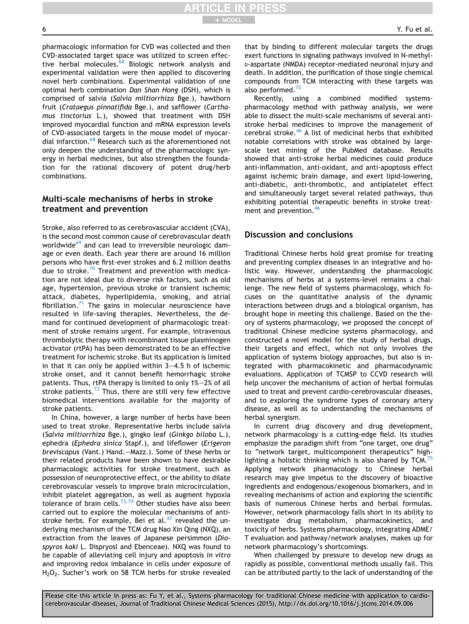pharmacologic information for CVD was collected and then CVD-associated target space was utilized to screen effec-tive herbal molecules.<sup>[68](#page-7-0)</sup> Biologic network analysis and experimental validation were then applied to discovering novel herb combinations. Experimental validation of one optimal herb combination Dan Shan Hong (DSH), which is comprised of salvia (Salvia miltiorrhiza Bge.), hawthorn fruit (Crataegus pinnatifida Bge.), and safflower (Carthamus tinctorius L.), showed that treatment with DSH improved myocardial function and mRNA expression levels of CVD-associated targets in the mouse model of myocar-dial infarction.<sup>[68](#page-7-0)</sup> Research such as the aforementioned not only deepen the understanding of the pharmacologic synergy in herbal medicines, but also strengthen the foundation for the rational discovery of potent drug/herb combinations.

#### Multi-scale mechanisms of herbs in stroke treatment and prevention

Stroke, also referred to as cerebrovascular accident (CVA), is the second most common cause of cerebrovascular death worldwide<sup>[69](#page-7-0)</sup> and can lead to irreversible neurologic damage or even death. Each year there are around 16 million persons who have first-ever strokes and 6.2 million deaths due to stroke. $70$  Treatment and prevention with medication are not ideal due to diverse risk factors, such as old age, hypertension, previous stroke or transient ischemic attack, diabetes, hyperlipidemia, smoking, and atrial fibrillation.<sup>[71](#page-7-0)</sup> The gains in molecular neuroscience have resulted in life-saving therapies. Nevertheless, the demand for continued development of pharmacologic treatment of stroke remains urgent. For example, intravenous thrombolytic therapy with recombinant tissue plasminogen activator (rtPA) has been demonstrated to be an effective treatment for ischemic stroke. But its application is limited in that it can only be applied within  $3-4.5$  h of ischemic stroke onset, and it cannot benefit hemorrhagic stroke patients. Thus, rtPA therapy is limited to only  $1\%-2\%$  of all stroke patients. $^{72}$  $^{72}$  $^{72}$  Thus, there are still very few effective biomedical interventions available for the majority of stroke patients.

In China, however, a large number of herbs have been used to treat stroke. Representative herbs include salvia (Salvia miltiorrhiza Bge.), gingko leaf (Ginkgo biloba L.), ephedra (Ephedra sinica Stapf.), and lifeflower (Erigeron breviscapus (Vant.) Hand.-Mazz.). Some of these herbs or their related products have been shown to have desirable pharmacologic activities for stroke treatment, such as possession of neuroprotective effect, or the ability to dilate cerebrovascular vessels to improve brain microcirculation, inhibit platelet aggregation, as well as augment hypoxia tolerance of brain cells.<sup>73,74</sup> Other studies have also been carried out to explore the molecular mechanisms of antistroke herbs. For example, Bei et al. $47$  revealed the underlying mechanism of the TCM drug Nao Xin Qing (NXQ), an extraction from the leaves of Japanese persimmon (Diospyros kaki L. Dispryosl and Ebenceae). NXQ was found to be capable of alleviating cell injury and apoptosis in vitro and improving redox imbalance in cells under exposure of H<sub>2</sub>O<sub>2</sub>. Sucher's work on 58 TCM herbs for stroke revealed that by binding to different molecular targets the drugs exert functions in signaling pathways involved in N-methyl-D-aspartate (NMDA) receptor-mediated neuronal injury and death. In addition, the purification of those single chemical compounds from TCM interacting with these targets was also performed. $^{72}$  $^{72}$  $^{72}$ 

Recently, using a combined modified systemspharmacology method with pathway analysis, we were able to dissect the multi-scale mechanisms of several antistroke herbal medicines to improve the management of cerebral stroke.[46](#page-7-0) A list of medicinal herbs that exhibited notable correlations with stroke was obtained by largescale text mining of the PubMed database. Results showed that anti-stroke herbal medicines could produce anti-inflammation, anti-oxidant, and anti-apoptosis effect against ischemic brain damage, and exert lipid-lowering, anti-diabetic, anti-thrombotic, and antiplatelet effect and simultaneously target several related pathways, thus exhibiting potential therapeutic benefits in stroke treat-ment and prevention.<sup>[46](#page-7-0)</sup>

#### Discussion and conclusions

Traditional Chinese herbs hold great promise for treating and preventing complex diseases in an integrative and holistic way. However, understanding the pharmacologic mechanisms of herbs at a systems-level remains a challenge. The new field of systems pharmacology, which focuses on the quantitative analysis of the dynamic interactions between drugs and a biological organism, has brought hope in meeting this challenge. Based on the theory of systems pharmacology, we proposed the concept of traditional Chinese medicine systems pharmacology, and constructed a novel model for the study of herbal drugs, their targets and effect, which not only involves the application of systems biology approaches, but also is integrated with pharmacokinetic and pharmacodynamic evaluations. Application of TCMSP to CCVD research will help uncover the mechanisms of action of herbal formulas used to treat and prevent cardio-cerebrovascular diseases, and to exploring the syndrome types of coronary artery disease, as well as to understanding the mechanisms of herbal synergism.

In current drug discovery and drug development, network pharmacology is a cutting-edge field. Its studies emphasize the paradigm shift from "one target, one drug" to "network target, multicomponent therapeutics" high-lighting a holistic thinking which is also shared by TCM.<sup>[75](#page-7-0)</sup> Applying network pharmacology to Chinese herbal research may give impetus to the discovery of bioactive ingredients and endogenous/exogenous biomarkers, and in revealing mechanisms of action and exploring the scientific basis of numerous Chinese herbs and herbal formulas. However, network pharmacology falls short in its ability to investigate drug metabolism, pharmacokinetics, and toxicity of herbs. Systems pharmacology, integrating ADME/ T evaluation and pathway/network analyses, makes up for network pharmacology's shortcomings.

When challenged by pressure to develop new drugs as rapidly as possible, conventional methods usually fail. This can be attributed partly to the lack of understanding of the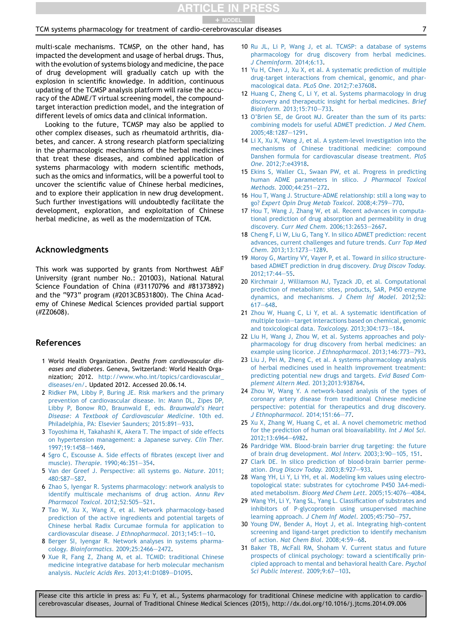+ MODEL

#### <span id="page-6-0"></span>TCM systems pharmacology for treatment of cardio-cerebrovascular diseases 7

multi-scale mechanisms. TCMSP, on the other hand, has impacted the development and usage of herbal drugs. Thus, with the evolution of systems biology and medicine, the pace of drug development will gradually catch up with the explosion in scientific knowledge. In addition, continuous updating of the TCMSP analysis platform will raise the accuracy of the ADME/T virtual screening model, the compoundtarget interaction prediction model, and the integration of different levels of omics data and clinical information.

Looking to the future, TCMSP may also be applied to other complex diseases, such as rheumatoid arthritis, diabetes, and cancer. A strong research platform specializing in the pharmacologic mechanisms of the herbal medicines that treat these diseases, and combined application of systems pharmacology with modern scientific methods, such as the omics and informatics, will be a powerful tool to uncover the scientific value of Chinese herbal medicines, and to explore their application in new drug development. Such further investigations will undoubtedly facilitate the development, exploration, and exploitation of Chinese herbal medicine, as well as the modernization of TCM.

#### Acknowledgments

This work was supported by grants from Northwest A&F University (grant number No.: 201003), National Natural Science Foundation of China (#31170796 and #81373892) and the "973" program (#2013CB531800). The China Academy of Chinese Medical Sciences provided partial support (#ZZ0608).

#### References

- 1 World Health Organization. Deaths from cardiovascular diseases and diabetes. Geneva, Switzerland: World Health Organization; 2012. [http://www.who.int/topics/cardiovascular\\_](http://www.who.int/topics/cardiovascular_diseases/en/) [diseases/en/.](http://www.who.int/topics/cardiovascular_diseases/en/) Updated 2012. Accessed 20.06.14.
- 2 [Ridker PM, Libby P, Buring JE. Risk markers and the primary](http://refhub.elsevier.com/S2095-7548(15)00008-3/sref2) [prevention of cardiovascular disease. In: Mann DL, Zipes DP,](http://refhub.elsevier.com/S2095-7548(15)00008-3/sref2) [Libby P, Bonow RO, Braunwald E, eds.](http://refhub.elsevier.com/S2095-7548(15)00008-3/sref2) Braunwald's Heart [Disease: A Textbook of Cardiovascular Medicine](http://refhub.elsevier.com/S2095-7548(15)00008-3/sref2). 10th ed. [Philadelphia, PA: Elsevier Saunders; 2015:891](http://refhub.elsevier.com/S2095-7548(15)00008-3/sref2)-[933](http://refhub.elsevier.com/S2095-7548(15)00008-3/sref2).
- 3 [Toyoshima H, Takahashi K, Akera T. The impact of side effects](http://refhub.elsevier.com/S2095-7548(15)00008-3/sref3) [on hypertension management: a Japanese survey.](http://refhub.elsevier.com/S2095-7548(15)00008-3/sref3) Clin Ther. [1997;19:1458](http://refhub.elsevier.com/S2095-7548(15)00008-3/sref3)-[1469](http://refhub.elsevier.com/S2095-7548(15)00008-3/sref3).
- 4 [Sgro C, Escousse A. Side effects of fibrates \(except liver and](http://refhub.elsevier.com/S2095-7548(15)00008-3/sref4) muscle). Therapie. [1990;46:351](http://refhub.elsevier.com/S2095-7548(15)00008-3/sref4)-[354.](http://refhub.elsevier.com/S2095-7548(15)00008-3/sref4)
- 5 [Van der Greef J. Perspective: all systems go.](http://refhub.elsevier.com/S2095-7548(15)00008-3/sref5) Nature. 2011; [480:S87](http://refhub.elsevier.com/S2095-7548(15)00008-3/sref5)-[S87.](http://refhub.elsevier.com/S2095-7548(15)00008-3/sref5)
- 6 [Zhao S, Iyengar R. Systems pharmacology: network analysis to](http://refhub.elsevier.com/S2095-7548(15)00008-3/sref6) [identify multiscale mechanisms of drug action.](http://refhub.elsevier.com/S2095-7548(15)00008-3/sref6) Annu Rev [Pharmacol Toxicol.](http://refhub.elsevier.com/S2095-7548(15)00008-3/sref6) 2012;52:505-[521](http://refhub.elsevier.com/S2095-7548(15)00008-3/sref6).
- 7 [Tao W, Xu X, Wang X, et al. Network pharmacology-based](http://refhub.elsevier.com/S2095-7548(15)00008-3/sref7) [prediction of the active ingredients and potential targets of](http://refhub.elsevier.com/S2095-7548(15)00008-3/sref7) [Chinese herbal Radix Curcumae formula for application to](http://refhub.elsevier.com/S2095-7548(15)00008-3/sref7) [cardiovascular disease.](http://refhub.elsevier.com/S2095-7548(15)00008-3/sref7) J Ethnopharmacol. 2013;145:1-[10](http://refhub.elsevier.com/S2095-7548(15)00008-3/sref7).
- 8 [Berger SI, Iyengar R. Network analyses in systems pharma-](http://refhub.elsevier.com/S2095-7548(15)00008-3/sref8)cology. [Bioinformatics.](http://refhub.elsevier.com/S2095-7548(15)00008-3/sref8) 2009;25:2466-[2472](http://refhub.elsevier.com/S2095-7548(15)00008-3/sref8).
- 9 [Xue R, Fang Z, Zhang M, et al. TCMID: traditional Chinese](http://refhub.elsevier.com/S2095-7548(15)00008-3/sref9) [medicine integrative database for herb molecular mechanism](http://refhub.elsevier.com/S2095-7548(15)00008-3/sref9) analysis. [Nucleic Acids Res.](http://refhub.elsevier.com/S2095-7548(15)00008-3/sref9) 2013;41:D1089-[D1095](http://refhub.elsevier.com/S2095-7548(15)00008-3/sref9).
- 10 [Ru JL, Li P, Wang J, et al. TCMSP: a database of systems](http://refhub.elsevier.com/S2095-7548(15)00008-3/sref10) [pharmacology for drug discovery from herbal medicines.](http://refhub.elsevier.com/S2095-7548(15)00008-3/sref10) [J Cheminform.](http://refhub.elsevier.com/S2095-7548(15)00008-3/sref10) 2014;6:13.
- 11 [Yu H, Chen J, Xu X, et al. A systematic prediction of multiple](http://refhub.elsevier.com/S2095-7548(15)00008-3/sref11) [drug-target interactions from chemical, genomic, and phar](http://refhub.elsevier.com/S2095-7548(15)00008-3/sref11)[macological data.](http://refhub.elsevier.com/S2095-7548(15)00008-3/sref11) PLoS One. 2012;7:e37608.
- 12 [Huang C, Zheng C, Li Y, et al. Systems pharmacology in drug](http://refhub.elsevier.com/S2095-7548(15)00008-3/sref12) [discovery and therapeutic insight for herbal medicines.](http://refhub.elsevier.com/S2095-7548(15)00008-3/sref12) Brief Bioinform. [2013;15:710](http://refhub.elsevier.com/S2095-7548(15)00008-3/sref12)-[733](http://refhub.elsevier.com/S2095-7548(15)00008-3/sref12).
- 13 [O'Brien SE, de Groot MJ. Greater than the sum of its parts:](http://refhub.elsevier.com/S2095-7548(15)00008-3/sref13) [combining models for useful ADMET prediction.](http://refhub.elsevier.com/S2095-7548(15)00008-3/sref13) J Med Chem. [2005;48:1287](http://refhub.elsevier.com/S2095-7548(15)00008-3/sref13)-[1291](http://refhub.elsevier.com/S2095-7548(15)00008-3/sref13).
- 14 [Li X, Xu X, Wang J, et al. A system-level investigation into the](http://refhub.elsevier.com/S2095-7548(15)00008-3/sref14) [mechanisms of Chinese traditional medicine: compound](http://refhub.elsevier.com/S2095-7548(15)00008-3/sref14) [Danshen formula for cardiovascular disease treatment.](http://refhub.elsevier.com/S2095-7548(15)00008-3/sref14) PloS One. [2012;7:e43918.](http://refhub.elsevier.com/S2095-7548(15)00008-3/sref14)
- 15 [Ekins S, Waller CL, Swaan PW, et al. Progress in predicting](http://refhub.elsevier.com/S2095-7548(15)00008-3/sref15) [human ADME parameters in silico.](http://refhub.elsevier.com/S2095-7548(15)00008-3/sref15) J Pharmacol Toxicol Methods. [2000;44:251](http://refhub.elsevier.com/S2095-7548(15)00008-3/sref15)-[272.](http://refhub.elsevier.com/S2095-7548(15)00008-3/sref15)
- 16 [Hou T, Wang J. Structure-ADME relationship: still a long way to](http://refhub.elsevier.com/S2095-7548(15)00008-3/sref16) go? [Expert Opin Drug Metab Toxicol.](http://refhub.elsevier.com/S2095-7548(15)00008-3/sref16) 2008;4:759-[770.](http://refhub.elsevier.com/S2095-7548(15)00008-3/sref16)
- 17 [Hou T, Wang J, Zhang W, et al. Recent advances in computa](http://refhub.elsevier.com/S2095-7548(15)00008-3/sref17)[tional prediction of drug absorption and permeability in drug](http://refhub.elsevier.com/S2095-7548(15)00008-3/sref17) discovery. [Curr Med Chem.](http://refhub.elsevier.com/S2095-7548(15)00008-3/sref17) 2006;13:2653-[2667.](http://refhub.elsevier.com/S2095-7548(15)00008-3/sref17)
- 18 [Cheng F, Li W, Liu G, Tang Y. In silico ADMET prediction: recent](http://refhub.elsevier.com/S2095-7548(15)00008-3/sref18) [advances, current challenges and future trends.](http://refhub.elsevier.com/S2095-7548(15)00008-3/sref18) Curr Top Med Chem. [2013;13:1273](http://refhub.elsevier.com/S2095-7548(15)00008-3/sref18)-[1289](http://refhub.elsevier.com/S2095-7548(15)00008-3/sref18).
- 19 [Moroy G, Martiny VY, Vayer P, et al. Toward](http://refhub.elsevier.com/S2095-7548(15)00008-3/sref19) in silico structure[based ADMET prediction in drug discovery.](http://refhub.elsevier.com/S2095-7548(15)00008-3/sref19) Drug Discov Today. [2012;17:44](http://refhub.elsevier.com/S2095-7548(15)00008-3/sref19)-[55.](http://refhub.elsevier.com/S2095-7548(15)00008-3/sref19)
- 20 [Kirchmair J, Williamson MJ, Tyzack JD, et al. Computational](http://refhub.elsevier.com/S2095-7548(15)00008-3/sref20) [prediction of metabolism: sites, products, SAR, P450 enzyme](http://refhub.elsevier.com/S2095-7548(15)00008-3/sref20) [dynamics, and mechanisms.](http://refhub.elsevier.com/S2095-7548(15)00008-3/sref20) J Chem Inf Model. 2012;52:  $617 - 648.$  $617 - 648.$  $617 - 648.$  $617 - 648.$
- 21 [Zhou W, Huang C, Li Y, et al. A systematic identification of](http://refhub.elsevier.com/S2095-7548(15)00008-3/sref21) [multiple toxin](http://refhub.elsevier.com/S2095-7548(15)00008-3/sref21)-[target interactions based on chemical, genomic](http://refhub.elsevier.com/S2095-7548(15)00008-3/sref21) [and toxicological data.](http://refhub.elsevier.com/S2095-7548(15)00008-3/sref21) Toxicology. 2013;304:173-[184](http://refhub.elsevier.com/S2095-7548(15)00008-3/sref21).
- 22 [Liu H, Wang J, Zhou W, et al. Systems approaches and poly](http://refhub.elsevier.com/S2095-7548(15)00008-3/sref22)[pharmacology for drug discovery from herbal medicines: an](http://refhub.elsevier.com/S2095-7548(15)00008-3/sref22) [example using licorice.](http://refhub.elsevier.com/S2095-7548(15)00008-3/sref22) J Ethnopharmacol. 2013;146:773-[793.](http://refhub.elsevier.com/S2095-7548(15)00008-3/sref22)
- 23 [Liu J, Pei M, Zheng C, et al. A systems-pharmacology analysis](http://refhub.elsevier.com/S2095-7548(15)00008-3/sref23) [of herbal medicines used in health improvement treatment:](http://refhub.elsevier.com/S2095-7548(15)00008-3/sref23) [predicting potential new drugs and targets.](http://refhub.elsevier.com/S2095-7548(15)00008-3/sref23) Evid Based Com[plement Altern Med.](http://refhub.elsevier.com/S2095-7548(15)00008-3/sref23) 2013;2013:938764.
- 24 [Zhou W, Wang Y. A network-based analysis of the types of](http://refhub.elsevier.com/S2095-7548(15)00008-3/sref24) [coronary artery disease from traditional Chinese medicine](http://refhub.elsevier.com/S2095-7548(15)00008-3/sref24) [perspective: potential for therapeutics and drug discovery.](http://refhub.elsevier.com/S2095-7548(15)00008-3/sref24) [J Ethnopharmacol.](http://refhub.elsevier.com/S2095-7548(15)00008-3/sref24) 2014;151:66-[77.](http://refhub.elsevier.com/S2095-7548(15)00008-3/sref24)
- 25 [Xu X, Zhang W, Huang C, et al. A novel chemometric method](http://refhub.elsevier.com/S2095-7548(15)00008-3/sref25) [for the prediction of human oral bioavailability.](http://refhub.elsevier.com/S2095-7548(15)00008-3/sref25) Int J Mol Sci. [2012;13:6964](http://refhub.elsevier.com/S2095-7548(15)00008-3/sref25)-[6982](http://refhub.elsevier.com/S2095-7548(15)00008-3/sref25).
- 26 [Pardridge WM. Blood-brain barrier drug targeting: the future](http://refhub.elsevier.com/S2095-7548(15)00008-3/sref26) [of brain drug development.](http://refhub.elsevier.com/S2095-7548(15)00008-3/sref26) Mol Interv. 2003;3:90-[105, 151.](http://refhub.elsevier.com/S2095-7548(15)00008-3/sref26)
- 27 [Clark DE. In silico prediction of blood-brain barrier perme-](http://refhub.elsevier.com/S2095-7548(15)00008-3/sref27)ation. [Drug Discov Today.](http://refhub.elsevier.com/S2095-7548(15)00008-3/sref27) 2003;8:927-[933](http://refhub.elsevier.com/S2095-7548(15)00008-3/sref27).
- 28 [Wang YH, Li Y, Li YH, et al. Modeling km values using electro](http://refhub.elsevier.com/S2095-7548(15)00008-3/sref28)[topological state: substrates for cytochrome P450 3A4-medi-](http://refhub.elsevier.com/S2095-7548(15)00008-3/sref28)ated metabolism. [Bioorg Med Chem Lett.](http://refhub.elsevier.com/S2095-7548(15)00008-3/sref28) 2005;15:4076-[4084.](http://refhub.elsevier.com/S2095-7548(15)00008-3/sref28)
- 29 [Wang YH, Li Y, Yang SL, Yang L. Classification of substrates and](http://refhub.elsevier.com/S2095-7548(15)00008-3/sref29) [inhibitors of P-glycoprotein using unsupervised machine](http://refhub.elsevier.com/S2095-7548(15)00008-3/sref29) [learning approach.](http://refhub.elsevier.com/S2095-7548(15)00008-3/sref29) J Chem Inf Model. 2005;45:750-[757](http://refhub.elsevier.com/S2095-7548(15)00008-3/sref29).
- 30 [Young DW, Bender A, Hoyt J, et al. Integrating high-content](http://refhub.elsevier.com/S2095-7548(15)00008-3/sref30) [screening and ligand-target prediction to identify mechanism](http://refhub.elsevier.com/S2095-7548(15)00008-3/sref30) of action. [Nat Chem Biol.](http://refhub.elsevier.com/S2095-7548(15)00008-3/sref30) 2008;4:59-[68.](http://refhub.elsevier.com/S2095-7548(15)00008-3/sref30)
- 31 [Baker TB, McFall RM, Shoham V. Current status and future](http://refhub.elsevier.com/S2095-7548(15)00008-3/sref31) [prospects of clinical psychology: toward a scientifically prin](http://refhub.elsevier.com/S2095-7548(15)00008-3/sref31)[cipled approach to mental and behavioral health Care.](http://refhub.elsevier.com/S2095-7548(15)00008-3/sref31) Psychol [Sci Public Interest.](http://refhub.elsevier.com/S2095-7548(15)00008-3/sref31) 2009;9:67-[103.](http://refhub.elsevier.com/S2095-7548(15)00008-3/sref31)